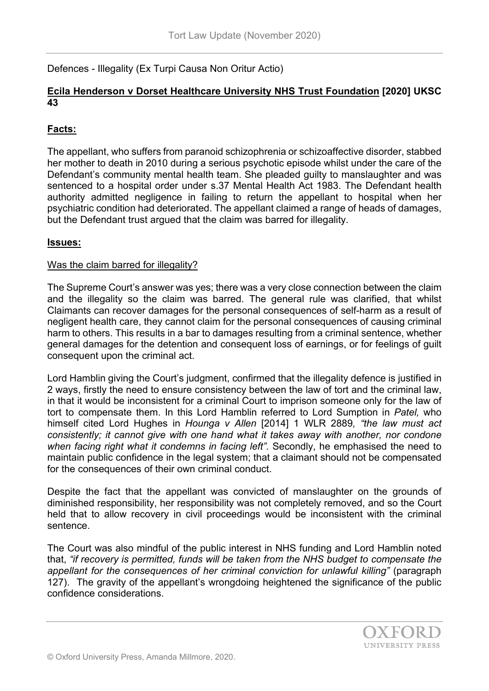Defences - Illegality (Ex Turpi Causa Non Oritur Actio)

### **Ecila Henderson v Dorset Healthcare University NHS Trust Foundation [\[2020\] UKSC](https://www.bailii.org/uk/cases/UKSC/2020/43.html)  [43](https://www.bailii.org/uk/cases/UKSC/2020/43.html)**

## **Facts:**

The appellant, who suffers from paranoid schizophrenia or schizoaffective disorder, stabbed her mother to death in 2010 during a serious psychotic episode whilst under the care of the Defendant's community mental health team. She pleaded guilty to manslaughter and was sentenced to a hospital order under s.37 Mental Health Act 1983. The Defendant health authority admitted negligence in failing to return the appellant to hospital when her psychiatric condition had deteriorated. The appellant claimed a range of heads of damages, but the Defendant trust argued that the claim was barred for illegality.

### **Issues:**

#### Was the claim barred for illegality?

The Supreme Court's answer was yes; there was a very close connection between the claim and the illegality so the claim was barred. The general rule was clarified, that whilst Claimants can recover damages for the personal consequences of self-harm as a result of negligent health care, they cannot claim for the personal consequences of causing criminal harm to others. This results in a bar to damages resulting from a criminal sentence, whether general damages for the detention and consequent loss of earnings, or for feelings of guilt consequent upon the criminal act.

Lord Hamblin giving the Court's judgment, confirmed that the illegality defence is justified in 2 ways, firstly the need to ensure consistency between the law of tort and the criminal law, in that it would be inconsistent for a criminal Court to imprison someone only for the law of tort to compensate them. In this Lord Hamblin referred to Lord Sumption in *Patel,* who himself cited Lord Hughes in *Hounga v Allen* [2014] 1 WLR 2889*, "the law must act consistently; it cannot give with one hand what it takes away with another, nor condone when facing right what it condemns in facing left".* Secondly, he emphasised the need to maintain public confidence in the legal system; that a claimant should not be compensated for the consequences of their own criminal conduct.

Despite the fact that the appellant was convicted of manslaughter on the grounds of diminished responsibility, her responsibility was not completely removed, and so the Court held that to allow recovery in civil proceedings would be inconsistent with the criminal sentence.

The Court was also mindful of the public interest in NHS funding and Lord Hamblin noted that, *"if recovery is permitted, funds will be taken from the NHS budget to compensate the appellant for the consequences of her criminal conviction for unlawful killing"* (paragraph 127). The gravity of the appellant's wrongdoing heightened the significance of the public confidence considerations.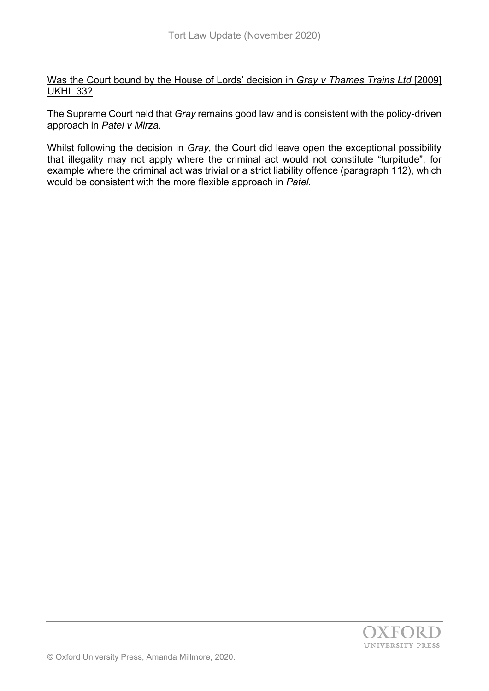Was the Court bound by the House of Lords' decision in *Gray v Thames Trains Ltd* [2009] UKHL 33?

The Supreme Court held that *Gray* remains good law and is consistent with the policy-driven approach in *Patel v Mirza.*

Whilst following the decision in *Gray,* the Court did leave open the exceptional possibility that illegality may not apply where the criminal act would not constitute "turpitude", for example where the criminal act was trivial or a strict liability offence (paragraph 112), which would be consistent with the more flexible approach in *Patel.*

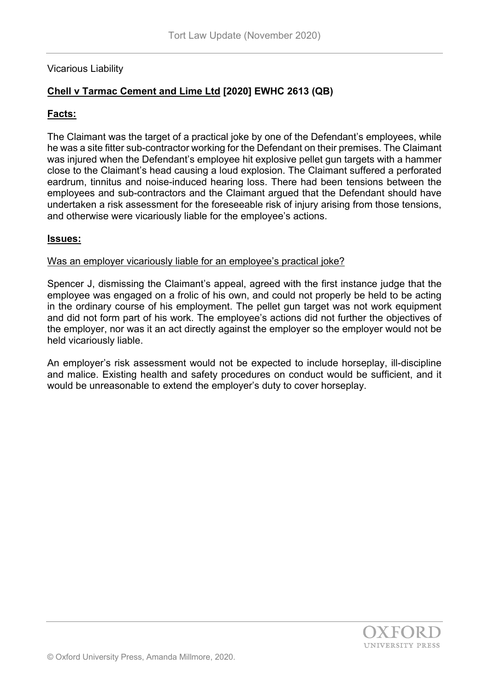### Vicarious Liability

# **Chell v Tarmac Cement and Lime Ltd [2020] EWHC 2613 (QB)**

### **Facts:**

The Claimant was the target of a practical joke by one of the Defendant's employees, while he was a site fitter sub-contractor working for the Defendant on their premises. The Claimant was injured when the Defendant's employee hit explosive pellet gun targets with a hammer close to the Claimant's head causing a loud explosion. The Claimant suffered a perforated eardrum, tinnitus and noise-induced hearing loss. There had been tensions between the employees and sub-contractors and the Claimant argued that the Defendant should have undertaken a risk assessment for the foreseeable risk of injury arising from those tensions, and otherwise were vicariously liable for the employee's actions.

#### **Issues:**

#### Was an employer vicariously liable for an employee's practical joke?

Spencer J, dismissing the Claimant's appeal, agreed with the first instance judge that the employee was engaged on a frolic of his own, and could not properly be held to be acting in the ordinary course of his employment. The pellet gun target was not work equipment and did not form part of his work. The employee's actions did not further the objectives of the employer, nor was it an act directly against the employer so the employer would not be held vicariously liable.

An employer's risk assessment would not be expected to include horseplay, ill-discipline and malice. Existing health and safety procedures on conduct would be sufficient, and it would be unreasonable to extend the employer's duty to cover horseplay.

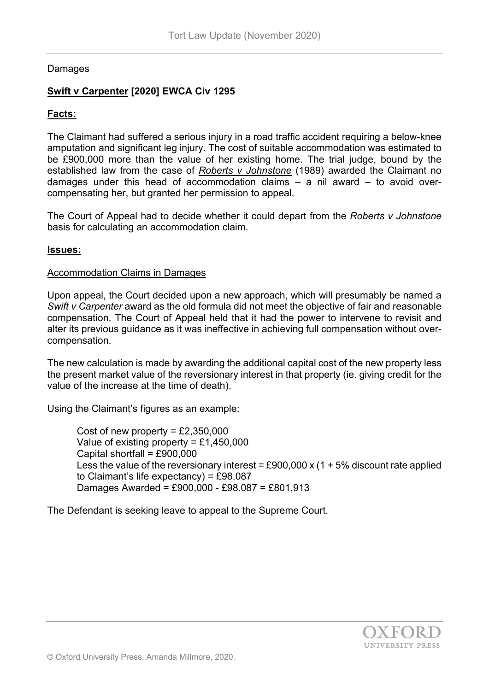### Damages

## **Swift v Carpenter [2020] EWCA Civ 1295**

### **Facts:**

The Claimant had suffered a serious injury in a road traffic accident requiring a below-knee amputation and significant leg injury. The cost of suitable accommodation was estimated to be £900,000 more than the value of her existing home. The trial judge, bound by the established law from the case of *Roberts v Johnstone* (1989) awarded the Claimant no damages under this head of accommodation claims – a nil award – to avoid overcompensating her, but granted her permission to appeal.

The Court of Appeal had to decide whether it could depart from the *Roberts v Johnstone* basis for calculating an accommodation claim.

#### **Issues:**

#### Accommodation Claims in Damages

Upon appeal, the Court decided upon a new approach, which will presumably be named a *Swift v Carpenter* award as the old formula did not meet the objective of fair and reasonable compensation. The Court of Appeal held that it had the power to intervene to revisit and alter its previous guidance as it was ineffective in achieving full compensation without overcompensation.

The new calculation is made by awarding the additional capital cost of the new property less the present market value of the reversionary interest in that property (ie. giving credit for the value of the increase at the time of death).

Using the Claimant's figures as an example:

Cost of new property =  $£2,350,000$ Value of existing property = £1,450,000 Capital shortfall = £900,000 Less the value of the reversionary interest = £900,000 x  $(1 + 5\%$  discount rate applied to Claimant's life expectancy) = £98.087 Damages Awarded = £900,000 - £98.087 = £801,913

The Defendant is seeking leave to appeal to the Supreme Court.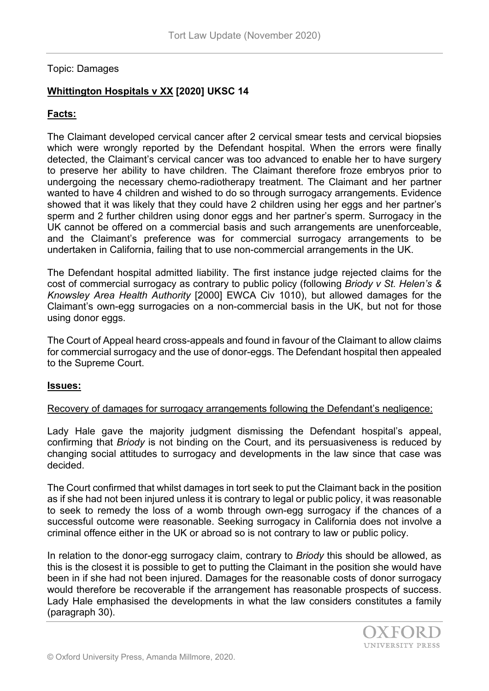#### Topic: Damages

## **Whittington Hospitals v XX [2020] UKSC 14**

### **Facts:**

The Claimant developed cervical cancer after 2 cervical smear tests and cervical biopsies which were wrongly reported by the Defendant hospital. When the errors were finally detected, the Claimant's cervical cancer was too advanced to enable her to have surgery to preserve her ability to have children. The Claimant therefore froze embryos prior to undergoing the necessary chemo-radiotherapy treatment. The Claimant and her partner wanted to have 4 children and wished to do so through surrogacy arrangements. Evidence showed that it was likely that they could have 2 children using her eggs and her partner's sperm and 2 further children using donor eggs and her partner's sperm. Surrogacy in the UK cannot be offered on a commercial basis and such arrangements are unenforceable, and the Claimant's preference was for commercial surrogacy arrangements to be undertaken in California, failing that to use non-commercial arrangements in the UK.

The Defendant hospital admitted liability. The first instance judge rejected claims for the cost of commercial surrogacy as contrary to public policy (following *Briody v St. Helen's & Knowsley Area Health Authority* [2000] EWCA Civ 1010), but allowed damages for the Claimant's own-egg surrogacies on a non-commercial basis in the UK, but not for those using donor eggs.

The Court of Appeal heard cross-appeals and found in favour of the Claimant to allow claims for commercial surrogacy and the use of donor-eggs. The Defendant hospital then appealed to the Supreme Court.

#### **Issues:**

#### Recovery of damages for surrogacy arrangements following the Defendant's negligence:

Lady Hale gave the majority judgment dismissing the Defendant hospital's appeal, confirming that *Briody* is not binding on the Court, and its persuasiveness is reduced by changing social attitudes to surrogacy and developments in the law since that case was decided.

The Court confirmed that whilst damages in tort seek to put the Claimant back in the position as if she had not been injured unless it is contrary to legal or public policy, it was reasonable to seek to remedy the loss of a womb through own-egg surrogacy if the chances of a successful outcome were reasonable. Seeking surrogacy in California does not involve a criminal offence either in the UK or abroad so is not contrary to law or public policy.

In relation to the donor-egg surrogacy claim, contrary to *Briody* this should be allowed, as this is the closest it is possible to get to putting the Claimant in the position she would have been in if she had not been injured. Damages for the reasonable costs of donor surrogacy would therefore be recoverable if the arrangement has reasonable prospects of success. Lady Hale emphasised the developments in what the law considers constitutes a family (paragraph 30).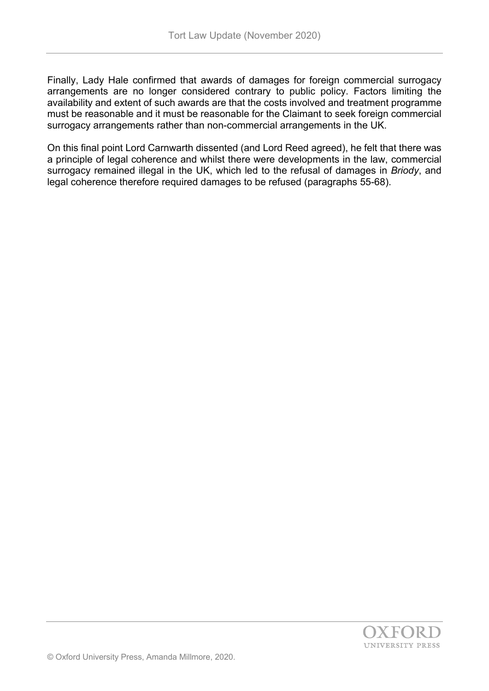Finally, Lady Hale confirmed that awards of damages for foreign commercial surrogacy arrangements are no longer considered contrary to public policy. Factors limiting the availability and extent of such awards are that the costs involved and treatment programme must be reasonable and it must be reasonable for the Claimant to seek foreign commercial surrogacy arrangements rather than non-commercial arrangements in the UK.

On this final point Lord Carnwarth dissented (and Lord Reed agreed), he felt that there was a principle of legal coherence and whilst there were developments in the law, commercial surrogacy remained illegal in the UK, which led to the refusal of damages in *Briody*, and legal coherence therefore required damages to be refused (paragraphs 55-68).

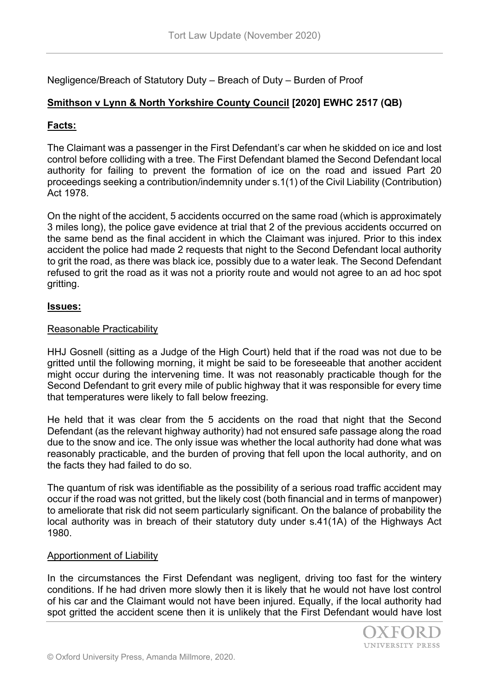Negligence/Breach of Statutory Duty – Breach of Duty – Burden of Proof

## **Smithson v Lynn & North Yorkshire County Council [2020] EWHC 2517 (QB)**

### **Facts:**

The Claimant was a passenger in the First Defendant's car when he skidded on ice and lost control before colliding with a tree. The First Defendant blamed the Second Defendant local authority for failing to prevent the formation of ice on the road and issued Part 20 proceedings seeking a contribution/indemnity under s.1(1) of the Civil Liability (Contribution) Act 1978.

On the night of the accident, 5 accidents occurred on the same road (which is approximately 3 miles long), the police gave evidence at trial that 2 of the previous accidents occurred on the same bend as the final accident in which the Claimant was injured. Prior to this index accident the police had made 2 requests that night to the Second Defendant local authority to grit the road, as there was black ice, possibly due to a water leak. The Second Defendant refused to grit the road as it was not a priority route and would not agree to an ad hoc spot gritting.

### **Issues:**

### Reasonable Practicability

HHJ Gosnell (sitting as a Judge of the High Court) held that if the road was not due to be gritted until the following morning, it might be said to be foreseeable that another accident might occur during the intervening time. It was not reasonably practicable though for the Second Defendant to grit every mile of public highway that it was responsible for every time that temperatures were likely to fall below freezing.

He held that it was clear from the 5 accidents on the road that night that the Second Defendant (as the relevant highway authority) had not ensured safe passage along the road due to the snow and ice. The only issue was whether the local authority had done what was reasonably practicable, and the burden of proving that fell upon the local authority, and on the facts they had failed to do so.

The quantum of risk was identifiable as the possibility of a serious road traffic accident may occur if the road was not gritted, but the likely cost (both financial and in terms of manpower) to ameliorate that risk did not seem particularly significant. On the balance of probability the local authority was in breach of their statutory duty under s.41(1A) of the Highways Act 1980.

#### Apportionment of Liability

In the circumstances the First Defendant was negligent, driving too fast for the wintery conditions. If he had driven more slowly then it is likely that he would not have lost control of his car and the Claimant would not have been injured. Equally, if the local authority had spot gritted the accident scene then it is unlikely that the First Defendant would have lost

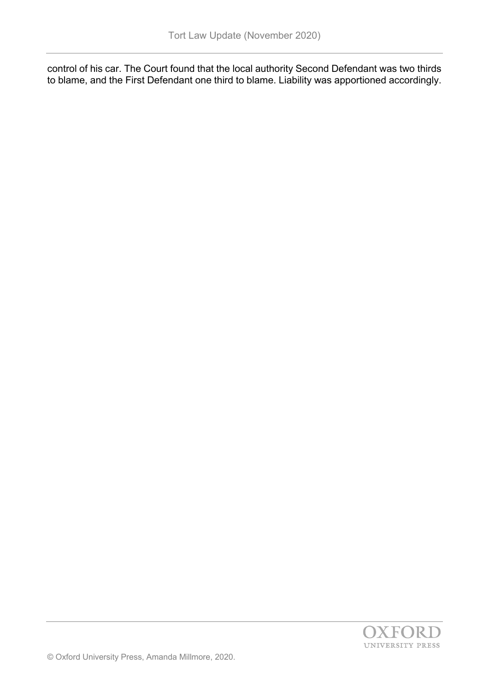control of his car. The Court found that the local authority Second Defendant was two thirds to blame, and the First Defendant one third to blame. Liability was apportioned accordingly.

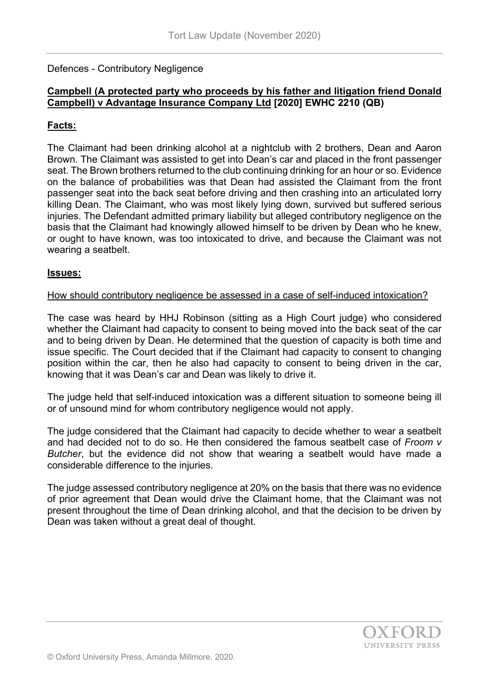Defences - Contributory Negligence

## **Campbell (A protected party who proceeds by his father and litigation friend Donald Campbell) v Advantage Insurance Company Ltd [2020] EWHC 2210 (QB)**

## **Facts:**

The Claimant had been drinking alcohol at a nightclub with 2 brothers, Dean and Aaron Brown. The Claimant was assisted to get into Dean's car and placed in the front passenger seat. The Brown brothers returned to the club continuing drinking for an hour or so. Evidence on the balance of probabilities was that Dean had assisted the Claimant from the front passenger seat into the back seat before driving and then crashing into an articulated lorry killing Dean. The Claimant, who was most likely lying down, survived but suffered serious injuries. The Defendant admitted primary liability but alleged contributory negligence on the basis that the Claimant had knowingly allowed himself to be driven by Dean who he knew, or ought to have known, was too intoxicated to drive, and because the Claimant was not wearing a seatbelt.

#### **Issues:**

#### How should contributory negligence be assessed in a case of self-induced intoxication?

The case was heard by HHJ Robinson (sitting as a High Court judge) who considered whether the Claimant had capacity to consent to being moved into the back seat of the car and to being driven by Dean. He determined that the question of capacity is both time and issue specific. The Court decided that if the Claimant had capacity to consent to changing position within the car, then he also had capacity to consent to being driven in the car, knowing that it was Dean's car and Dean was likely to drive it.

The judge held that self-induced intoxication was a different situation to someone being ill or of unsound mind for whom contributory negligence would not apply.

The judge considered that the Claimant had capacity to decide whether to wear a seatbelt and had decided not to do so. He then considered the famous seatbelt case of *Froom v Butcher*, but the evidence did not show that wearing a seatbelt would have made a considerable difference to the injuries.

The judge assessed contributory negligence at 20% on the basis that there was no evidence of prior agreement that Dean would drive the Claimant home, that the Claimant was not present throughout the time of Dean drinking alcohol, and that the decision to be driven by Dean was taken without a great deal of thought.